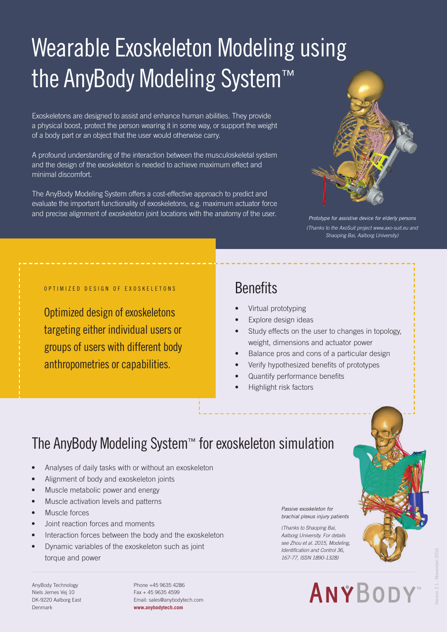# Wearable Exoskeleton Modeling using the AnyBody Modeling System™

Exoskeletons are designed to assist and enhance human abilities. They provide a physical boost, protect the person wearing it in some way, or support the weight of a body part or an object that the user would otherwise carry.

A profound understanding of the interaction between the musculoskeletal system and the design of the exoskeleton is needed to achieve maximum effect and minimal discomfort.

The AnyBody Modeling System offers a cost-effective approach to predict and evaluate the important functionality of exoskeletons, e.g. maximum actuator force and precise alignment of exoskeleton joint locations with the anatomy of the user.



*Prototype for assistive device for elderly persons (Thanks to the AxoSuit project www.axo-suit.eu and Shaoping Bai, Aalborg University)*

#### OPTIMIZED DESIGN OF EXOSKELETONS

Optimized design of exoskeletons targeting either individual users or groups of users with different body anthropometries or capabilities.

#### **Benefits**

- Virtual prototyping
- Explore design ideas
- Study effects on the user to changes in topology, weight, dimensions and actuator power
- Balance pros and cons of a particular design
- Verify hypothesized benefits of prototypes
- Quantify performance benefits
- Highlight risk factors

### The AnyBody Modeling System™ for exoskeleton simulation

- Analyses of daily tasks with or without an exoskeleton
- Alignment of body and exoskeleton joints
- Muscle metabolic power and energy
- Muscle activation levels and patterns
- Muscle forces
- Joint reaction forces and moments
- Interaction forces between the body and the exoskeleton
- Dynamic variables of the exoskeleton such as joint torque and power

AnyBody Technology Niels Jernes Vej 10 DK-9220 Aalborg East Denmark

Phone +45 9635 4286 Fax + 45 9635 4599 Email: sales@anybodytech.com **www.anybodytech.com**

*Passive exoskeleton for brachial plexus injury patients*

*(Thanks to Shaoping Bai, Aalborg University. For details see Zhou et al. 2015, Modeling, Identification and Control 36, 167-77, ISSN 1890-1328)*

# **ANYBODY**